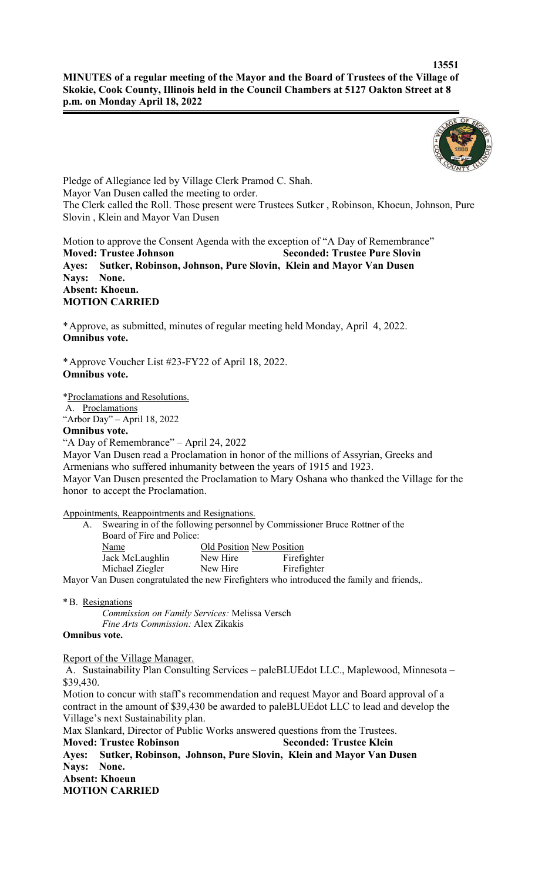

Pledge of Allegiance led by Village Clerk Pramod C. Shah. Mayor Van Dusen called the meeting to order. The Clerk called the Roll. Those present were Trustees Sutker , Robinson, Khoeun, Johnson, Pure Slovin , Klein and Mayor Van Dusen

Motion to approve the Consent Agenda with the exception of "A Day of Remembrance" **Moved: Trustee Johnson Seconded: Trustee Pure Slovin Ayes: Sutker, Robinson, Johnson, Pure Slovin, Klein and Mayor Van Dusen Nays: None. Absent: Khoeun. MOTION CARRIED**

\*Approve, as submitted, minutes of regular meeting held Monday, April 4, 2022. **Omnibus vote.**

\*Approve Voucher List #23-FY22 of April 18, 2022. **Omnibus vote.**

\*Proclamations and Resolutions.

A. Proclamations "Arbor Day" – April 18, 2022

# **Omnibus vote.**

"A Day of Remembrance" – April 24, 2022

Mayor Van Dusen read a Proclamation in honor of the millions of Assyrian, Greeks and Armenians who suffered inhumanity between the years of 1915 and 1923. Mayor Van Dusen presented the Proclamation to Mary Oshana who thanked the Village for the honor to accept the Proclamation.

Appointments, Reappointments and Resignations.

 A. Swearing in of the following personnel by Commissioner Bruce Rottner of the Board of Fire and Police:

| Name            | Old Position New Position |             |
|-----------------|---------------------------|-------------|
| Jack McLaughlin | New Hire                  | Firefighter |
| Michael Ziegler | New Hire                  | Firefighter |
|                 |                           |             |

Mayor Van Dusen congratulated the new Firefighters who introduced the family and friends,.

\*B. Resignations

*Commission on Family Services:* Melissa Versch *Fine Arts Commission:* Alex Zikakis

## **Omnibus vote.**

Report of the Village Manager.

A. Sustainability Plan Consulting Services – paleBLUEdot LLC., Maplewood, Minnesota – \$39,430.

Motion to concur with staff's recommendation and request Mayor and Board approval of a contract in the amount of \$39,430 be awarded to paleBLUEdot LLC to lead and develop the Village's next Sustainability plan.

Max Slankard, Director of Public Works answered questions from the Trustees.

**Moved: Trustee Robinson Seconded: Trustee Klein**

**Ayes: Sutker, Robinson, Johnson, Pure Slovin, Klein and Mayor Van Dusen Nays: None. Absent: Khoeun MOTION CARRIED**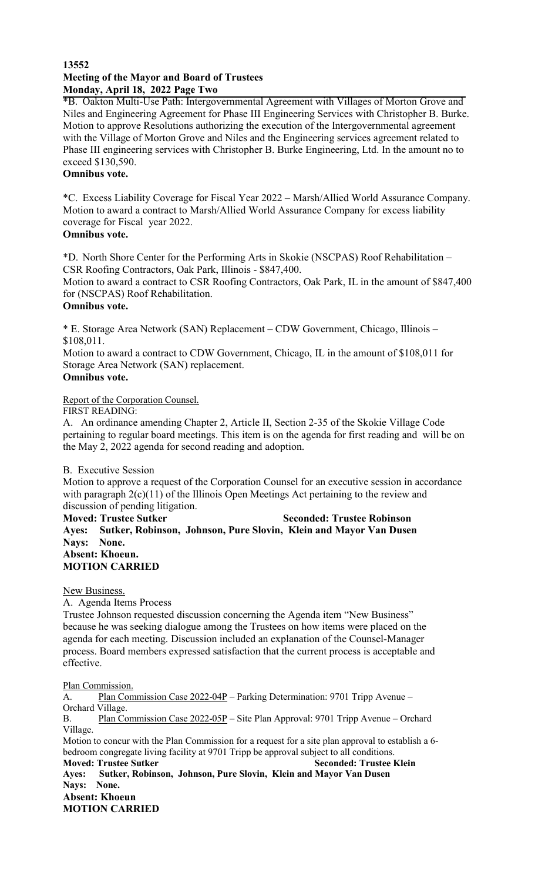### **13552 Meeting of the Mayor and Board of Trustees Monday, April 18, 2022 Page Two**

\*B. Oakton Multi-Use Path: Intergovernmental Agreement with Villages of Morton Grove and Niles and Engineering Agreement for Phase III Engineering Services with Christopher B. Burke. Motion to approve Resolutions authorizing the execution of the Intergovernmental agreement with the Village of Morton Grove and Niles and the Engineering services agreement related to Phase III engineering services with Christopher B. Burke Engineering, Ltd. In the amount no to exceed \$130,590. **Omnibus vote.**

\*C. Excess Liability Coverage for Fiscal Year 2022 – Marsh/Allied World Assurance Company. Motion to award a contract to Marsh/Allied World Assurance Company for excess liability coverage for Fiscal year 2022.

#### **Omnibus vote.**

\*D. North Shore Center for the Performing Arts in Skokie (NSCPAS) Roof Rehabilitation – CSR Roofing Contractors, Oak Park, Illinois - \$847,400.

Motion to award a contract to CSR Roofing Contractors, Oak Park, IL in the amount of \$847,400 for (NSCPAS) Roof Rehabilitation.

#### **Omnibus vote.**

\* E. Storage Area Network (SAN) Replacement – CDW Government, Chicago, Illinois – \$108,011.

Motion to award a contract to CDW Government, Chicago, IL in the amount of \$108,011 for Storage Area Network (SAN) replacement.

#### **Omnibus vote.**

Report of the Corporation Counsel.

FIRST READING:

A. An ordinance amending Chapter 2, Article II, Section 2-35 of the Skokie Village Code pertaining to regular board meetings. This item is on the agenda for first reading and will be on the May 2, 2022 agenda for second reading and adoption.

#### B. Executive Session

Motion to approve a request of the Corporation Counsel for an executive session in accordance with paragraph 2(c)(11) of the Illinois Open Meetings Act pertaining to the review and discussion of pending litigation.

**Moved: Trustee Sutker Seconded: Trustee Robinson Ayes: Sutker, Robinson, Johnson, Pure Slovin, Klein and Mayor Van Dusen Nays: None. Absent: Khoeun. MOTION CARRIED**

#### New Business.

A. Agenda Items Process

Trustee Johnson requested discussion concerning the Agenda item "New Business" because he was seeking dialogue among the Trustees on how items were placed on the agenda for each meeting. Discussion included an explanation of the Counsel-Manager process. Board members expressed satisfaction that the current process is acceptable and effective.

Plan Commission.

A. Plan Commission Case 2022-04P – Parking Determination: 9701 Tripp Avenue – Orchard Village.

B. Plan Commission Case 2022-05P – Site Plan Approval: 9701 Tripp Avenue – Orchard Village.

Motion to concur with the Plan Commission for a request for a site plan approval to establish a 6 bedroom congregate living facility at 9701 Tripp be approval subject to all conditions.

**Moved: Trustee Sutker Seconded: Trustee Klein Ayes: Sutker, Robinson, Johnson, Pure Slovin, Klein and Mayor Van Dusen Nays: None. Absent: Khoeun**

**MOTION CARRIED**